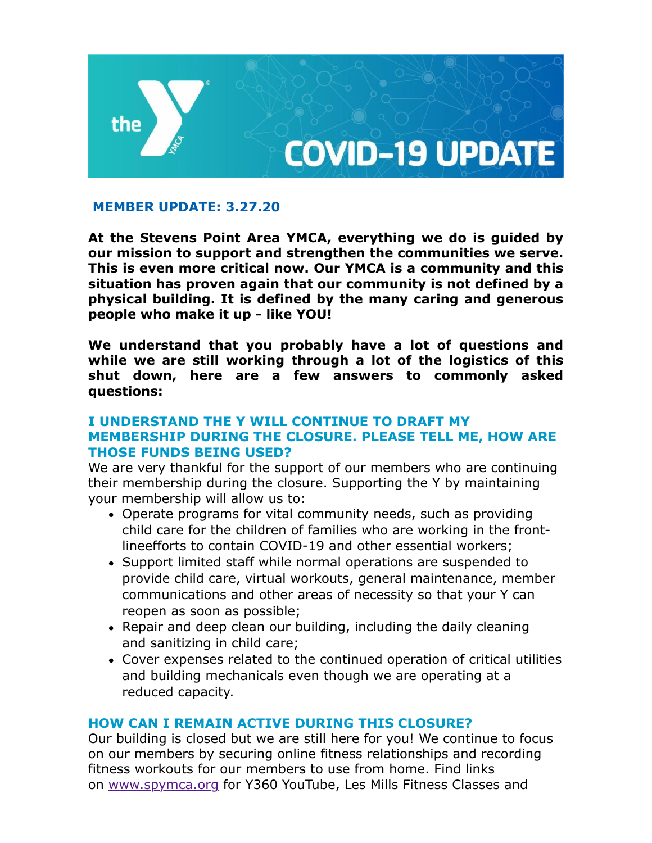

# **MEMBER UPDATE: 3.27.20**

**At the Stevens Point Area YMCA, everything we do is guided by our mission to support and strengthen the communities we serve. This is even more critical now. Our YMCA is a community and this situation has proven again that our community is not defined by a physical building. It is defined by the many caring and generous people who make it up - like YOU!** 

**We understand that you probably have a lot of questions and while we are still working through a lot of the logistics of this shut down, here are a few answers to commonly asked questions:**

# **I UNDERSTAND THE Y WILL CONTINUE TO DRAFT MY MEMBERSHIP DURING THE CLOSURE. PLEASE TELL ME, HOW ARE THOSE FUNDS BEING USED?**

We are very thankful for the support of our members who are continuing their membership during the closure. Supporting the Y by maintaining your membership will allow us to:

- Operate programs for vital community needs, such as providing child care for the children of families who are working in the frontlineefforts to contain COVID-19 and other essential workers;
- Support limited staff while normal operations are suspended to provide child care, virtual workouts, general maintenance, member communications and other areas of necessity so that your Y can reopen as soon as possible;
- Repair and deep clean our building, including the daily cleaning and sanitizing in child care;
- Cover expenses related to the continued operation of critical utilities and building mechanicals even though we are operating at a reduced capacity.

### **HOW CAN I REMAIN ACTIVE DURING THIS CLOSURE?**

Our building is closed but we are still here for you! We continue to focus on our members by securing online fitness relationships and recording fitness workouts for our members to use from home. Find links on [www.spymca.org](http://www.spymca.org/) for Y360 YouTube, Les Mills Fitness Classes and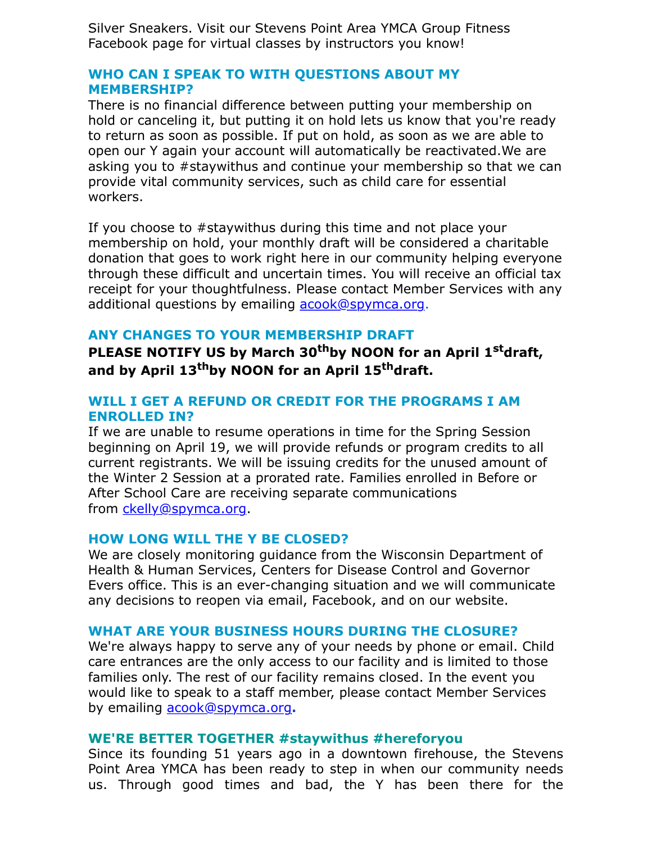Silver Sneakers. Visit our Stevens Point Area YMCA Group Fitness Facebook page for virtual classes by instructors you know!

## **WHO CAN I SPEAK TO WITH QUESTIONS ABOUT MY MEMBERSHIP?**

There is no financial difference between putting your membership on hold or canceling it, but putting it on hold lets us know that you're ready to return as soon as possible. If put on hold, as soon as we are able to open our Y again your account will automatically be reactivated.We are asking you to #staywithus and continue your membership so that we can provide vital community services, such as child care for essential workers.

If you choose to #staywithus during this time and not place your membership on hold, your monthly draft will be considered a charitable donation that goes to work right here in our community helping everyone through these difficult and uncertain times. You will receive an official tax receipt for your thoughtfulness. Please contact Member Services with any additional questions by emailing [acook@spymca.org.](mailto:acook@spymca.org)

# **ANY CHANGES TO YOUR MEMBERSHIP DRAFT**

PLEASE NOTIFY US by March 30<sup>th</sup>by NOON for an April 1<sup>st</sup>draft, and by April 13<sup>th</sup>by NOON for an April 15<sup>th</sup>draft.

## **WILL I GET A REFUND OR CREDIT FOR THE PROGRAMS I AM ENROLLED IN?**

If we are unable to resume operations in time for the Spring Session beginning on April 19, we will provide refunds or program credits to all current registrants. We will be issuing credits for the unused amount of the Winter 2 Session at a prorated rate. Families enrolled in Before or After School Care are receiving separate communications from [ckelly@spymca.org.](mailto:ckelly@spymca.org)

### **HOW LONG WILL THE Y BE CLOSED?**

We are closely monitoring guidance from the Wisconsin Department of Health & Human Services, Centers for Disease Control and Governor Evers office. This is an ever-changing situation and we will communicate any decisions to reopen via email, Facebook, and on our website.

# **WHAT ARE YOUR BUSINESS HOURS DURING THE CLOSURE?**

We're always happy to serve any of your needs by phone or email. Child care entrances are the only access to our facility and is limited to those families only. The rest of our facility remains closed. In the event you would like to speak to a staff member, please contact Member Services by emailing [acook@spymca.org](mailto:acook@spymca.org)**.** 

### **WE'RE BETTER TOGETHER #staywithus #hereforyou**

Since its founding 51 years ago in a downtown firehouse, the Stevens Point Area YMCA has been ready to step in when our community needs us. Through good times and bad, the Y has been there for the